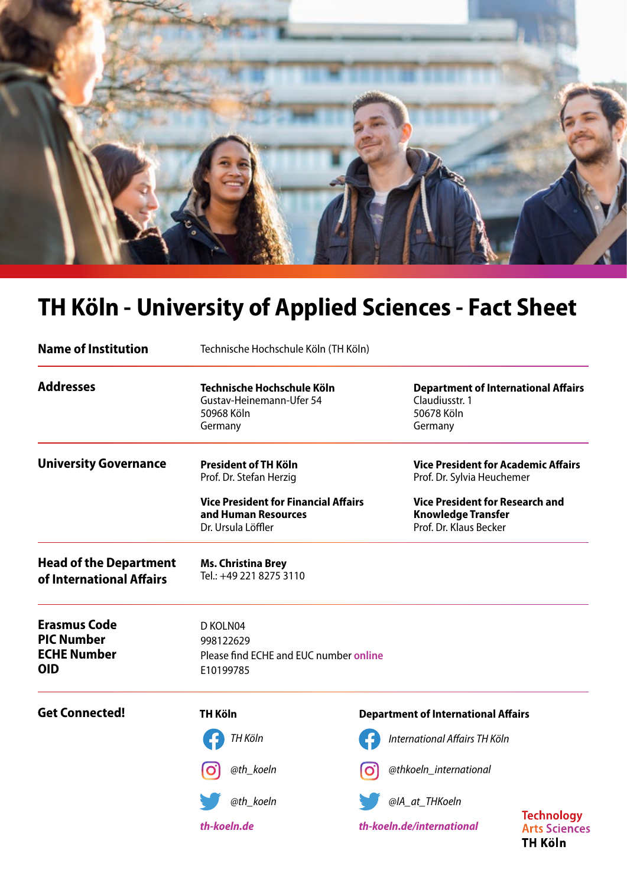

# **TH Köln - University of Applied Sciences - Fact Sheet**

| <b>Name of Institution</b>                                                   | Technische Hochschule Köln (TH Köln)                                                     |  |                                                                                               |                                                             |
|------------------------------------------------------------------------------|------------------------------------------------------------------------------------------|--|-----------------------------------------------------------------------------------------------|-------------------------------------------------------------|
| <b>Addresses</b>                                                             | Technische Hochschule Köln<br>Gustav-Heinemann-Ufer 54<br>50968 Köln<br>Germany          |  | <b>Department of International Affairs</b><br>Claudiusstr. 1<br>50678 Köln<br>Germany         |                                                             |
| <b>University Governance</b>                                                 | <b>President of TH Köln</b><br>Prof. Dr. Stefan Herzig                                   |  | <b>Vice President for Academic Affairs</b><br>Prof. Dr. Sylvia Heuchemer                      |                                                             |
|                                                                              | <b>Vice President for Financial Affairs</b><br>and Human Resources<br>Dr. Ursula Löffler |  | <b>Vice President for Research and</b><br><b>Knowledge Transfer</b><br>Prof. Dr. Klaus Becker |                                                             |
| <b>Head of the Department</b><br>of International Affairs                    | <b>Ms. Christina Brey</b><br>Tel.: +49 221 8275 3110                                     |  |                                                                                               |                                                             |
| <b>Erasmus Code</b><br><b>PIC Number</b><br><b>ECHE Number</b><br><b>OID</b> | D KOLN04<br>998122629<br>Please find ECHE and EUC number online<br>E10199785             |  |                                                                                               |                                                             |
| <b>Get Connected!</b>                                                        | <b>TH Köln</b>                                                                           |  | <b>Department of International Affairs</b>                                                    |                                                             |
|                                                                              | TH Köln                                                                                  |  | International Affairs TH Köln                                                                 |                                                             |
|                                                                              | @th_koeln                                                                                |  | @thkoeln_international                                                                        |                                                             |
|                                                                              | @th_koeln                                                                                |  | @IA_at_THKoeln                                                                                |                                                             |
|                                                                              | th-koeln.de                                                                              |  | th-koeln.de/international                                                                     | <b>Technology</b><br><b>Arts Sciences</b><br><b>TH Köln</b> |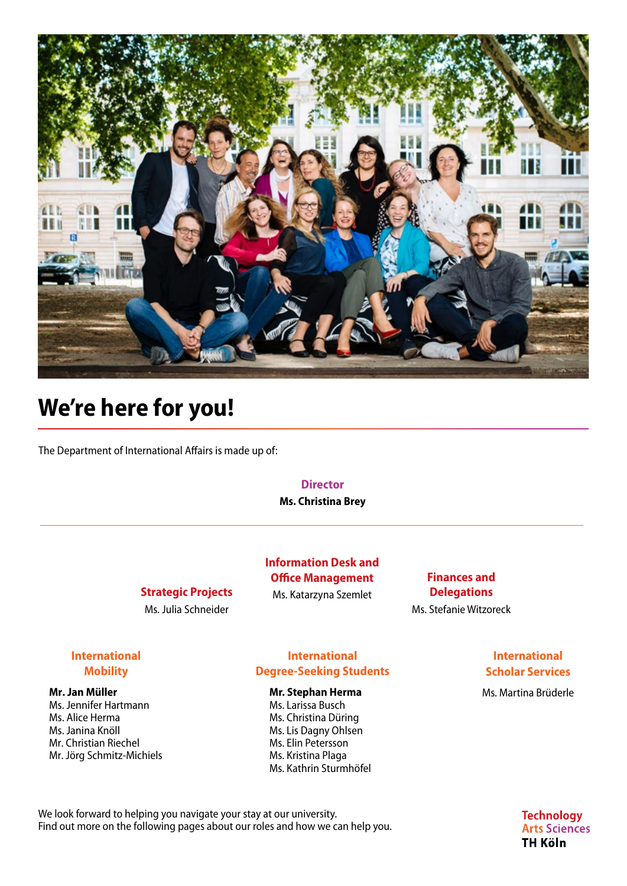

## **We're here for you!**

The Department of International Affairs is made up of:

#### **Director**

**Ms. Christina Brey**

#### **Strategic Projects**

Ms. Julia Schneider

#### **Information Desk and Office Management** Ms. Katarzyna Szemlet

**Finances and Delegations** Ms. Stefanie Witzoreck

#### **International Mobility**

#### **Mr. Jan Müller**

Ms. Jennifer Hartmann Ms. Alice Herma Ms. Janina Knöll Mr. Christian Riechel Mr. Jörg Schmitz-Michiels

#### **International Degree-Seeking Students**

#### **Mr. Stephan Herma**

Ms. Larissa Busch Ms. Christina Düring Ms. Lis Dagny Ohlsen Ms. Elin Petersson Ms. Kristina Plaga Ms. Kathrin Sturmhöfel

#### **International Scholar Services**

Ms. Martina Brüderle

We look forward to helping you navigate your stay at our university. Find out more on the following pages about our roles and how we can help you. **Technology Arts Sciences TH Köln**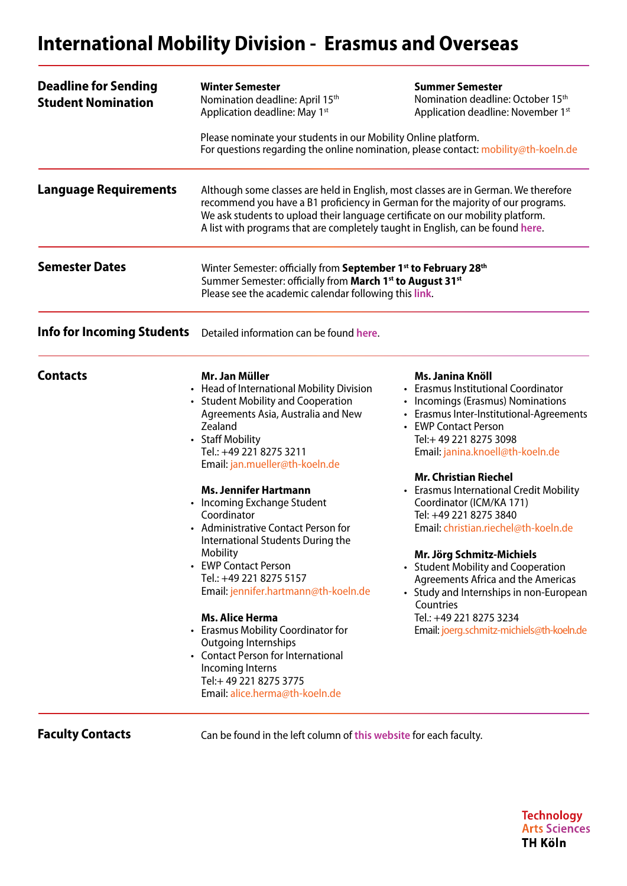## **International Mobility Division - Erasmus and Overseas**

| <b>Deadline for Sending</b><br><b>Student Nomination</b> | <b>Winter Semester</b><br>Nomination deadline: April 15th<br>Application deadline: May 1st                                                                                                                                                                                                                                                                                                                                                                                                                                                                                                                                                                                                                               | <b>Summer Semester</b><br>Nomination deadline: October 15 <sup>th</sup><br>Application deadline: November 1st                                                                                                                                                                                                                                                                                                                                                                                                                                                                                                                                                |  |  |
|----------------------------------------------------------|--------------------------------------------------------------------------------------------------------------------------------------------------------------------------------------------------------------------------------------------------------------------------------------------------------------------------------------------------------------------------------------------------------------------------------------------------------------------------------------------------------------------------------------------------------------------------------------------------------------------------------------------------------------------------------------------------------------------------|--------------------------------------------------------------------------------------------------------------------------------------------------------------------------------------------------------------------------------------------------------------------------------------------------------------------------------------------------------------------------------------------------------------------------------------------------------------------------------------------------------------------------------------------------------------------------------------------------------------------------------------------------------------|--|--|
|                                                          | Please nominate your students in our Mobility Online platform.<br>For questions regarding the online nomination, please contact: mobility@th-koeln.de                                                                                                                                                                                                                                                                                                                                                                                                                                                                                                                                                                    |                                                                                                                                                                                                                                                                                                                                                                                                                                                                                                                                                                                                                                                              |  |  |
| Language Requirements                                    | Although some classes are held in English, most classes are in German. We therefore<br>recommend you have a B1 proficiency in German for the majority of our programs.<br>We ask students to upload their language certificate on our mobility platform.<br>A list with programs that are completely taught in English, can be found here.                                                                                                                                                                                                                                                                                                                                                                               |                                                                                                                                                                                                                                                                                                                                                                                                                                                                                                                                                                                                                                                              |  |  |
| <b>Semester Dates</b>                                    | Winter Semester: officially from September 1 <sup>st</sup> to February 28 <sup>th</sup><br>Summer Semester: officially from March 1st to August 31st<br>Please see the academic calendar following this link.                                                                                                                                                                                                                                                                                                                                                                                                                                                                                                            |                                                                                                                                                                                                                                                                                                                                                                                                                                                                                                                                                                                                                                                              |  |  |
| <b>Info for Incoming Students</b>                        | Detailed information can be found here.                                                                                                                                                                                                                                                                                                                                                                                                                                                                                                                                                                                                                                                                                  |                                                                                                                                                                                                                                                                                                                                                                                                                                                                                                                                                                                                                                                              |  |  |
| <b>Contacts</b>                                          | Mr. Jan Müller<br>• Head of International Mobility Division<br>• Student Mobility and Cooperation<br>Agreements Asia, Australia and New<br>Zealand<br>• Staff Mobility<br>Tel.: +49 221 8275 3211<br>Email: jan.mueller@th-koeln.de<br><b>Ms. Jennifer Hartmann</b><br>• Incoming Exchange Student<br>Coordinator<br>• Administrative Contact Person for<br>International Students During the<br>Mobility<br>• EWP Contact Person<br>Tel.: +49 221 8275 5157<br>Email: jennifer.hartmann@th-koeln.de<br><b>Ms. Alice Herma</b><br>• Erasmus Mobility Coordinator for<br><b>Outgoing Internships</b><br>• Contact Person for International<br>Incoming Interns<br>Tel:+49 221 8275 3775<br>Email: alice.herma@th-koeln.de | Ms. Janina Knöll<br>• Erasmus Institutional Coordinator<br>• Incomings (Erasmus) Nominations<br>• Erasmus Inter-Institutional-Agreements<br>• EWP Contact Person<br>Tel:+ 49 221 8275 3098<br>Email: janina.knoell@th-koeln.de<br><b>Mr. Christian Riechel</b><br>• Erasmus International Credit Mobility<br>Coordinator (ICM/KA 171)<br>Tel: +49 221 8275 3840<br>Email: christian.riechel@th-koeln.de<br>Mr. Jörg Schmitz-Michiels<br><b>Student Mobility and Cooperation</b><br><b>Agreements Africa and the Americas</b><br>• Study and Internships in non-European<br>Countries<br>Tel.: +49 221 8275 3234<br>Email: joerg.schmitz-michiels@th-koeln.de |  |  |

**Faculty Contacts** Can be found in the left column of [this website](https://www.th-koeln.de/en/international_office/information-for-exchange-students_55834.php) for each faculty.

**Technology Arts Sciences TH Köln**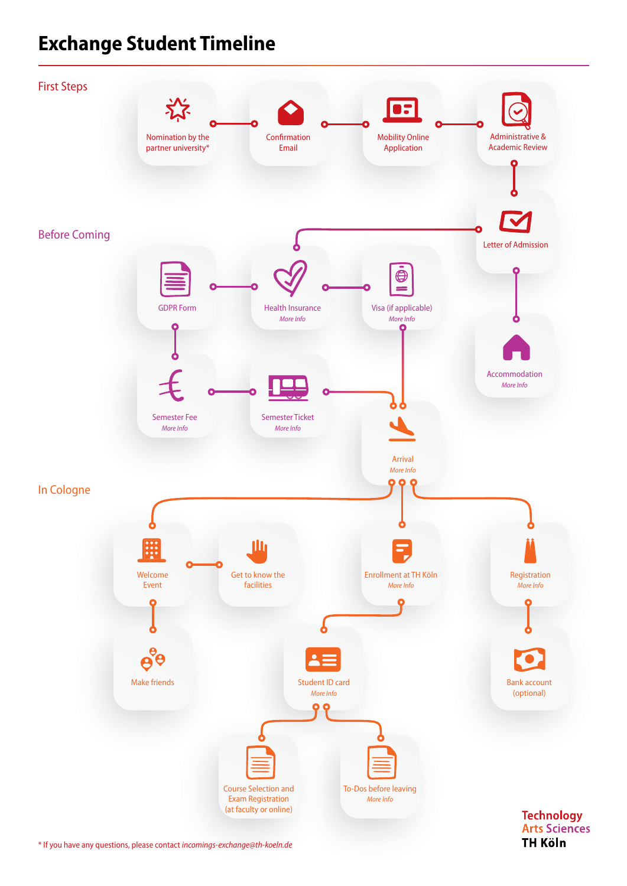### **Exchange Student Timeline**



[\\* If you have any questions, please contact](mailto:incomings-exchange%40th-koeln.de?subject=) *incomings-exchange@th-koeln.de*